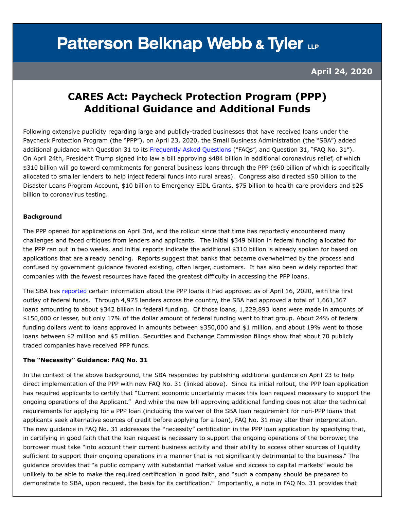# **Patterson Belknap Webb & Tyler LLP**

 **April 24, 2020** 

### **CARES Act: Paycheck Protection Program (PPP) Additional Guidance and Additional Funds**

Following extensive publicity regarding large and publicly-traded businesses that have received loans under the Paycheck Protection Program (the "PPP"), on April 23, 2020, the Small Business Administration (the "SBA") added additional guidance with Question 31 to its [Frequently Asked Questions](https://home.treasury.gov/system/files/136/Paycheck-Protection-Program-Frequently-Asked-Questions.pdf) ("FAQs", and Question 31, "FAQ No. 31"). On April 24th, President Trump signed into law a bill approving \$484 billion in additional coronavirus relief, of which \$310 billion will go toward commitments for general business loans through the PPP (\$60 billion of which is specifically allocated to smaller lenders to help inject federal funds into rural areas). Congress also directed \$50 billion to the Disaster Loans Program Account, \$10 billion to Emergency EIDL Grants, \$75 billion to health care providers and \$25 billion to coronavirus testing.

#### **Background**

The PPP opened for applications on April 3rd, and the rollout since that time has reportedly encountered many challenges and faced critiques from lenders and applicants. The initial \$349 billion in federal funding allocated for the PPP ran out in two weeks, and initial reports indicate the additional \$310 billion is already spoken for based on applications that are already pending. Reports suggest that banks that became overwhelmed by the process and confused by government guidance favored existing, often larger, customers. It has also been widely reported that companies with the fewest resources have faced the greatest difficulty in accessing the PPP loans.

The SBA has [reported](https://home.treasury.gov/system/files/136/SBA%20PPP%20Loan%20Report%20Deck.pdf) certain information about the PPP loans it had approved as of April 16, 2020, with the first outlay of federal funds. Through 4,975 lenders across the country, the SBA had approved a total of 1,661,367 loans amounting to about \$342 billion in federal funding. Of those loans, 1,229,893 loans were made in amounts of \$150,000 or lesser, but only 17% of the dollar amount of federal funding went to that group. About 24% of federal funding dollars went to loans approved in amounts between \$350,000 and \$1 million, and about 19% went to those loans between \$2 million and \$5 million. Securities and Exchange Commission filings show that about 70 publicly traded companies have received PPP funds.

#### **The "Necessity" Guidance: FAQ No. 31**

In the context of the above background, the SBA responded by publishing additional guidance on April 23 to help direct implementation of the PPP with new FAQ No. 31 (linked above). Since its initial rollout, the PPP loan application has required applicants to certify that "Current economic uncertainty makes this loan request necessary to support the ongoing operations of the Applicant." And while the new bill approving additional funding does not alter the technical requirements for applying for a PPP loan (including the waiver of the SBA loan requirement for non-PPP loans that applicants seek alternative sources of credit before applying for a loan), FAQ No. 31 may alter their interpretation. The new guidance in FAQ No. 31 addresses the "necessity" certification in the PPP loan application by specifying that, in certifying in good faith that the loan request is necessary to support the ongoing operations of the borrower, the borrower must take "into account their current business activity and their ability to access other sources of liquidity sufficient to support their ongoing operations in a manner that is not significantly detrimental to the business." The guidance provides that "a public company with substantial market value and access to capital markets" would be unlikely to be able to make the required certification in good faith, and "such a company should be prepared to demonstrate to SBA, upon request, the basis for its certification." Importantly, a note in FAQ No. 31 provides that